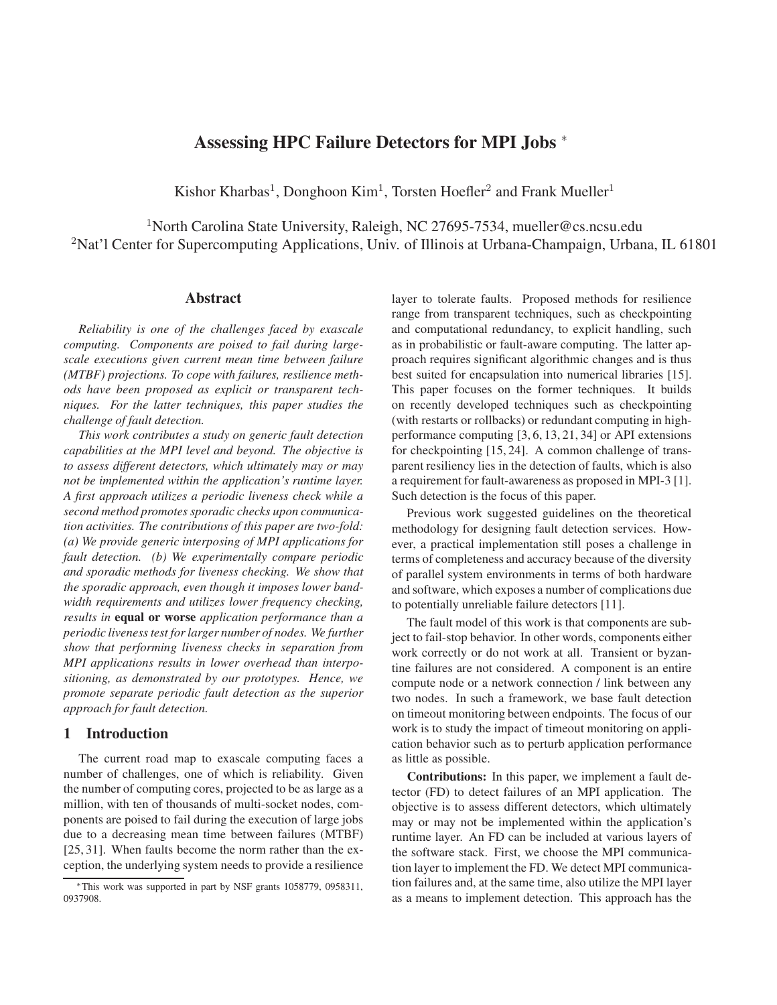# **Assessing HPC Failure Detectors for MPI Jobs** <sup>∗</sup>

Kishor Kharbas<sup>1</sup>, Donghoon Kim<sup>1</sup>, Torsten Hoefler<sup>2</sup> and Frank Mueller<sup>1</sup>

<sup>1</sup>North Carolina State University, Raleigh, NC 27695-7534, mueller@cs.ncsu.edu <sup>2</sup>Nat'l Center for Supercomputing Applications, Univ. of Illinois at Urbana-Champaign, Urbana, IL 61801

#### **Abstract**

*Reliability is one of the challenges faced by exascale computing. Components are poised to fail during largescale executions given current mean time between failure (MTBF) projections. To cope with failures, resilience methods have been proposed as explicit or transparent techniques. For the latter techniques, this paper studies the challenge of fault detection.*

*This work contributes a study on generic fault detection capabilities at the MPI level and beyond. The objective is to assess different detectors, which ultimately may or may not be implemented within the application's runtime layer. A first approach utilizes a periodic liveness check while a second method promotes sporadic checks upon communication activities. The contributions of this paper are two-fold: (a) We provide generic interposing of MPI applications for fault detection. (b) We experimentally compare periodic and sporadic methods for liveness checking. We show that the sporadic approach, even though it imposes lower bandwidth requirements and utilizes lower frequency checking, results in* **equal or worse** *application performance than a periodic liveness test for larger number of nodes. We further show that performing liveness checks in separation from MPI applications results in lower overhead than interpositioning, as demonstrated by our prototypes. Hence, we promote separate periodic fault detection as the superior approach for fault detection.*

### **1 Introduction**

The current road map to exascale computing faces a number of challenges, one of which is reliability. Given the number of computing cores, projected to be as large as a million, with ten of thousands of multi-socket nodes, components are poised to fail during the execution of large jobs due to a decreasing mean time between failures (MTBF) [25, 31]. When faults become the norm rather than the exception, the underlying system needs to provide a resilience

layer to tolerate faults. Proposed methods for resilience range from transparent techniques, such as checkpointing and computational redundancy, to explicit handling, such as in probabilistic or fault-aware computing. The latter approach requires significant algorithmic changes and is thus best suited for encapsulation into numerical libraries [15]. This paper focuses on the former techniques. It builds on recently developed techniques such as checkpointing (with restarts or rollbacks) or redundant computing in highperformance computing [3, 6, 13, 21, 34] or API extensions for checkpointing [15, 24]. A common challenge of transparent resiliency lies in the detection of faults, which is also a requirement for fault-awareness as proposed in MPI-3 [1]. Such detection is the focus of this paper.

Previous work suggested guidelines on the theoretical methodology for designing fault detection services. However, a practical implementation still poses a challenge in terms of completeness and accuracy because of the diversity of parallel system environments in terms of both hardware and software, which exposes a number of complications due to potentially unreliable failure detectors [11].

The fault model of this work is that components are subject to fail-stop behavior. In other words, components either work correctly or do not work at all. Transient or byzantine failures are not considered. A component is an entire compute node or a network connection / link between any two nodes. In such a framework, we base fault detection on timeout monitoring between endpoints. The focus of our work is to study the impact of timeout monitoring on application behavior such as to perturb application performance as little as possible.

**Contributions:** In this paper, we implement a fault detector (FD) to detect failures of an MPI application. The objective is to assess different detectors, which ultimately may or may not be implemented within the application's runtime layer. An FD can be included at various layers of the software stack. First, we choose the MPI communication layer to implement the FD. We detect MPI communication failures and, at the same time, also utilize the MPI layer as a means to implement detection. This approach has the

<sup>∗</sup>This work was supported in part by NSF grants 1058779, 0958311, 0937908.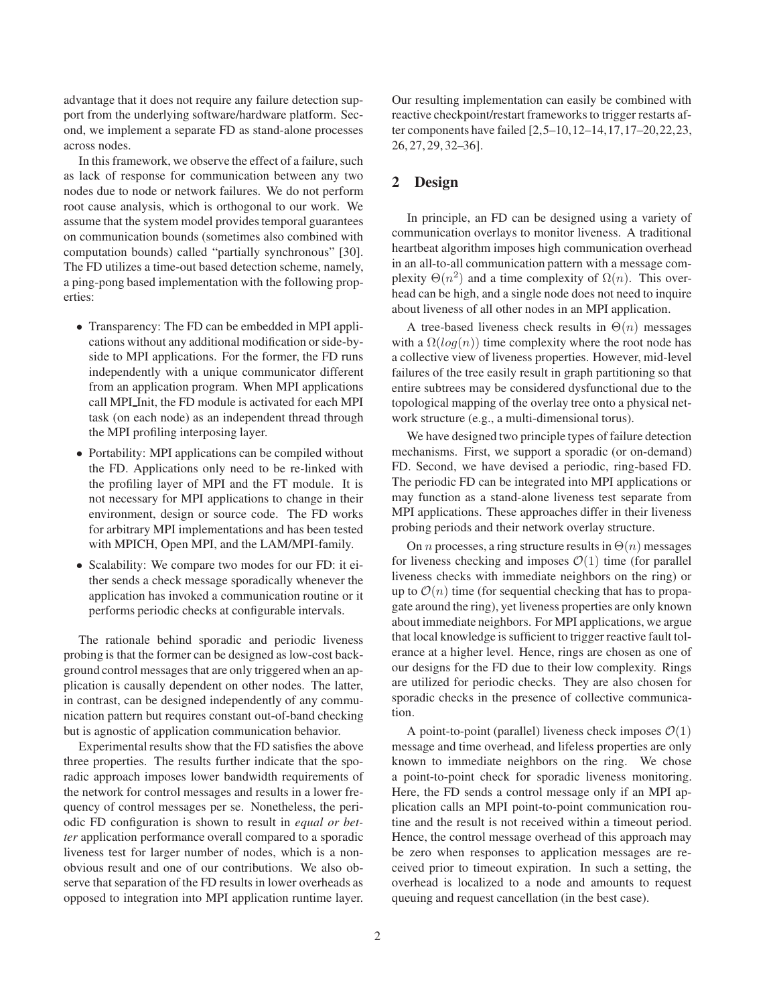advantage that it does not require any failure detection support from the underlying software/hardware platform. Second, we implement a separate FD as stand-alone processes across nodes.

In this framework, we observe the effect of a failure, such as lack of response for communication between any two nodes due to node or network failures. We do not perform root cause analysis, which is orthogonal to our work. We assume that the system model provides temporal guarantees on communication bounds (sometimes also combined with computation bounds) called "partially synchronous" [30]. The FD utilizes a time-out based detection scheme, namely, a ping-pong based implementation with the following properties:

- Transparency: The FD can be embedded in MPI applications without any additional modification or side-byside to MPI applications. For the former, the FD runs independently with a unique communicator different from an application program. When MPI applications call MPI Init, the FD module is activated for each MPI task (on each node) as an independent thread through the MPI profiling interposing layer.
- Portability: MPI applications can be compiled without the FD. Applications only need to be re-linked with the profiling layer of MPI and the FT module. It is not necessary for MPI applications to change in their environment, design or source code. The FD works for arbitrary MPI implementations and has been tested with MPICH, Open MPI, and the LAM/MPI-family.
- Scalability: We compare two modes for our FD: it either sends a check message sporadically whenever the application has invoked a communication routine or it performs periodic checks at configurable intervals.

The rationale behind sporadic and periodic liveness probing is that the former can be designed as low-cost background control messages that are only triggered when an application is causally dependent on other nodes. The latter, in contrast, can be designed independently of any communication pattern but requires constant out-of-band checking but is agnostic of application communication behavior.

Experimental results show that the FD satisfies the above three properties. The results further indicate that the sporadic approach imposes lower bandwidth requirements of the network for control messages and results in a lower frequency of control messages per se. Nonetheless, the periodic FD configuration is shown to result in *equal or better* application performance overall compared to a sporadic liveness test for larger number of nodes, which is a nonobvious result and one of our contributions. We also observe that separation of the FD results in lower overheads as opposed to integration into MPI application runtime layer.

Our resulting implementation can easily be combined with reactive checkpoint/restart frameworks to trigger restarts after components have failed [2,5–10,12–14,17,17–20,22,23, 26, 27, 29, 32–36].

### **2 Design**

In principle, an FD can be designed using a variety of communication overlays to monitor liveness. A traditional heartbeat algorithm imposes high communication overhead in an all-to-all communication pattern with a message complexity  $\Theta(n^2)$  and a time complexity of  $\Omega(n)$ . This overhead can be high, and a single node does not need to inquire about liveness of all other nodes in an MPI application.

A tree-based liveness check results in  $\Theta(n)$  messages with a  $\Omega(log(n))$  time complexity where the root node has a collective view of liveness properties. However, mid-level failures of the tree easily result in graph partitioning so that entire subtrees may be considered dysfunctional due to the topological mapping of the overlay tree onto a physical network structure (e.g., a multi-dimensional torus).

We have designed two principle types of failure detection mechanisms. First, we support a sporadic (or on-demand) FD. Second, we have devised a periodic, ring-based FD. The periodic FD can be integrated into MPI applications or may function as a stand-alone liveness test separate from MPI applications. These approaches differ in their liveness probing periods and their network overlay structure.

On *n* processes, a ring structure results in  $\Theta(n)$  messages for liveness checking and imposes  $\mathcal{O}(1)$  time (for parallel liveness checks with immediate neighbors on the ring) or up to  $\mathcal{O}(n)$  time (for sequential checking that has to propagate around the ring), yet liveness properties are only known about immediate neighbors. For MPI applications, we argue that local knowledge is sufficient to trigger reactive fault tolerance at a higher level. Hence, rings are chosen as one of our designs for the FD due to their low complexity. Rings are utilized for periodic checks. They are also chosen for sporadic checks in the presence of collective communication.

A point-to-point (parallel) liveness check imposes  $\mathcal{O}(1)$ message and time overhead, and lifeless properties are only known to immediate neighbors on the ring. We chose a point-to-point check for sporadic liveness monitoring. Here, the FD sends a control message only if an MPI application calls an MPI point-to-point communication routine and the result is not received within a timeout period. Hence, the control message overhead of this approach may be zero when responses to application messages are received prior to timeout expiration. In such a setting, the overhead is localized to a node and amounts to request queuing and request cancellation (in the best case).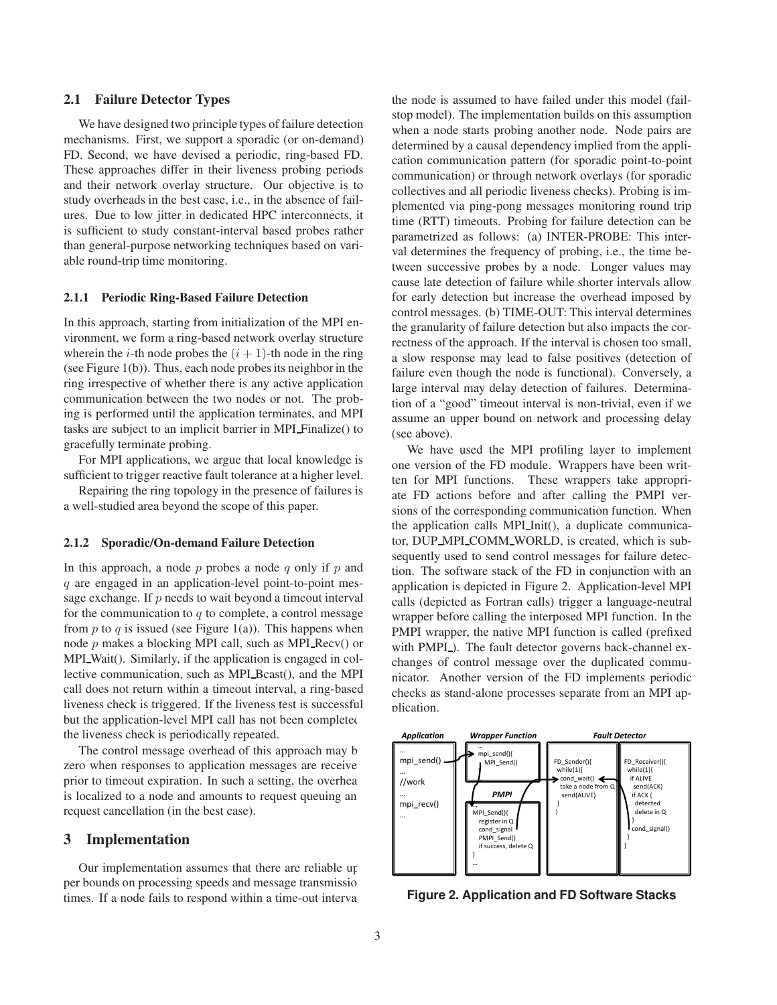#### **2.1 Failure Detector Types**

We have designed two principle types of failure detection mechanisms. First, we support a sporadic (or on-demand) FD. Second, we have devised a periodic, ring-based FD. These approaches differ in their liveness probing periods and their network overlay structure. Our objective is to study overheads in the best case, i.e., in the absence of failures. Due to low jitter in dedicated HPC interconnects, it is sufficient to study constant-interval based probes rather than general-purpose networking techniques based on variable round-trip time monitoring.

#### **2.1.1 Periodic Ring-Based Failure Detection**

In this approach, starting from initialization of the MPI environment, we form a ring-based network overlay structure wherein the *i*-th node probes the  $(i + 1)$ -th node in the ring (see Figure 1(b)). Thus, each node probes its neighbor in the ring irrespective of whether there is any active application communication between the two nodes or not. The probing is performed until the application terminates, and MPI tasks are subject to an implicit barrier in MPI Finalize() to gracefully terminate probing.

For MPI applications, we argue that local knowledge is sufficient to trigger reactive fault tolerance at a higher level.

Repairing the ring topology in the presence of failures is a well-studied area beyond the scope of this paper.

#### **2.1.2 Sporadic/On-demand Failure Detection**

In this approach, a node  $p$  probes a node  $q$  only if  $p$  and q are engaged in an application-level point-to-point message exchange. If  $p$  needs to wait beyond a timeout interval for the communication to  $q$  to complete, a control message from  $p$  to  $q$  is issued (see Figure 1(a)). This happens when node  $p$  makes a blocking MPI call, such as MPI Recv() or MPI Wait(). Similarly, if the application is engaged in collective communication, such as MPI<sub>-Bcast</sub>(), and the MPI call does not return within a timeout interval, a ring-based liveness check is triggered. If the liveness test is successful but the application-level MPI call has not been completed the liveness check is periodically repeated.

The control message overhead of this approach may be zero when responses to application messages are received prior to timeout expiration. In such a setting, the overhead is localized to a node and amounts to request queuing an request cancellation (in the best case).

#### **3 Implementation**

Our implementation assumes that there are reliable upper bounds on processing speeds and message transmission times. If a node fails to respond within a time-out interval the node is assumed to have failed under this model (failstop model). The implementation builds on this assumption when a node starts probing another node. Node pairs are determined by a causal dependency implied from the application communication pattern (for sporadic point-to-point communication) or through network overlays (for sporadic collectives and all periodic liveness checks). Probing is implemented via ping-pong messages monitoring round trip time (RTT) timeouts. Probing for failure detection can be parametrized as follows: (a) INTER-PROBE: This interval determines the frequency of probing, i.e., the time between successive probes by a node. Longer values may cause late detection of failure while shorter intervals allow for early detection but increase the overhead imposed by control messages. (b) TIME-OUT: This interval determines the granularity of failure detection but also impacts the correctness of the approach. If the interval is chosen too small, a slow response may lead to false positives (detection of failure even though the node is functional). Conversely, a large interval may delay detection of failures. Determination of a "good" timeout interval is non-trivial, even if we assume an upper bound on network and processing delay (see above).

We have used the MPI profiling layer to implement one version of the FD module. Wrappers have been written for MPI functions. These wrappers take appropriate FD actions before and after calling the PMPI versions of the corresponding communication function. When the application calls MPI Init(), a duplicate communicator, DUP MPI COMM WORLD, is created, which is subsequently used to send control messages for failure detection. The software stack of the FD in conjunction with an application is depicted in Figure 2. Application-level MPI calls (depicted as Fortran calls) trigger a language-neutral wrapper before calling the interposed MPI function. In the PMPI wrapper, the native MPI function is called (prefixed with PMPI<sub>-</sub>). The fault detector governs back-channel exchanges of control message over the duplicated communicator. Another version of the FD implements periodic checks as stand-alone processes separate from an MPI application.



**Figure 2. Application and FD Software Stacks**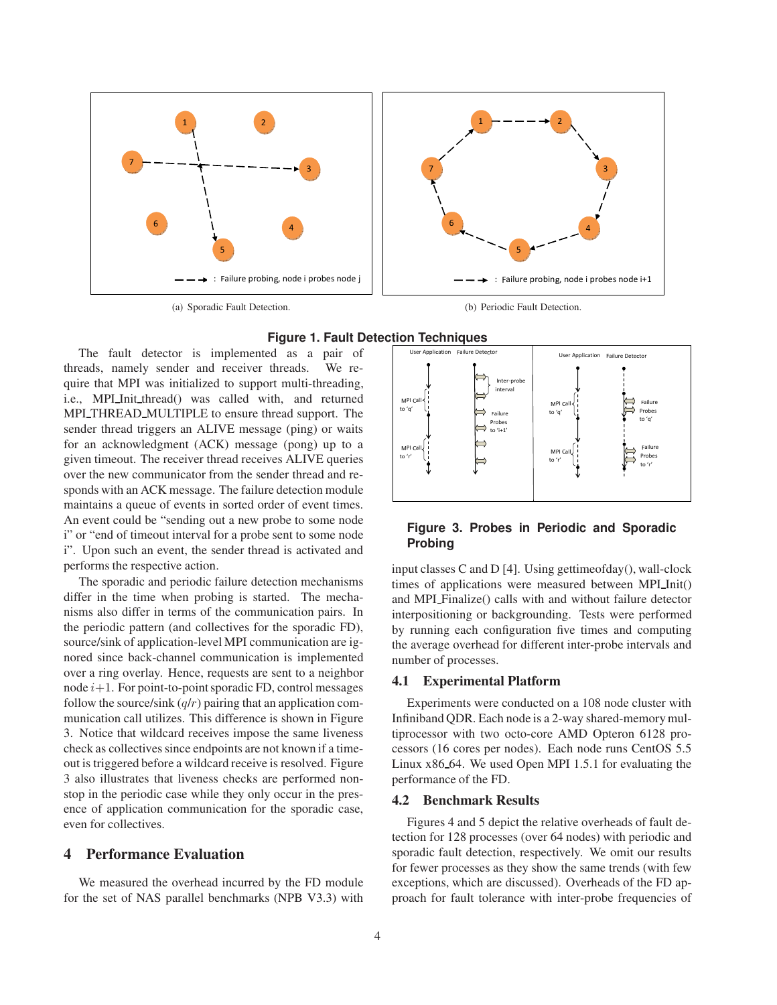

(a) Sporadic Fault Detection.

(b) Periodic Fault Detection.



The fault detector is implemented as a pair of threads, namely sender and receiver threads. We require that MPI was initialized to support multi-threading, i.e., MPI Init thread() was called with, and returned MPI THREAD MULTIPLE to ensure thread support. The sender thread triggers an ALIVE message (ping) or waits for an acknowledgment (ACK) message (pong) up to a given timeout. The receiver thread receives ALIVE queries over the new communicator from the sender thread and responds with an ACK message. The failure detection module maintains a queue of events in sorted order of event times. An event could be "sending out a new probe to some node i" or "end of timeout interval for a probe sent to some node i". Upon such an event, the sender thread is activated and performs the respective action.

The sporadic and periodic failure detection mechanisms differ in the time when probing is started. The mechanisms also differ in terms of the communication pairs. In the periodic pattern (and collectives for the sporadic FD), source/sink of application-level MPI communication are ignored since back-channel communication is implemented over a ring overlay. Hence, requests are sent to a neighbor node  $i+1$ . For point-to-point sporadic FD, control messages follow the source/sink  $(q/r)$  pairing that an application communication call utilizes. This difference is shown in Figure 3. Notice that wildcard receives impose the same liveness check as collectives since endpoints are not known if a timeout is triggered before a wildcard receive is resolved. Figure 3 also illustrates that liveness checks are performed nonstop in the periodic case while they only occur in the presence of application communication for the sporadic case, even for collectives.

### **4 Performance Evaluation**

We measured the overhead incurred by the FD module for the set of NAS parallel benchmarks (NPB V3.3) with



### **Figure 3. Probes in Periodic and Sporadic Probing**

input classes C and D [4]. Using gettimeofday(), wall-clock times of applications were measured between MPI Init() and MPI Finalize() calls with and without failure detector interpositioning or backgrounding. Tests were performed by running each configuration five times and computing the average overhead for different inter-probe intervals and number of processes.

### **4.1 Experimental Platform**

Experiments were conducted on a 108 node cluster with Infiniband QDR. Each node is a 2-way shared-memory multiprocessor with two octo-core AMD Opteron 6128 processors (16 cores per nodes). Each node runs CentOS 5.5 Linux x86 64. We used Open MPI 1.5.1 for evaluating the performance of the FD.

#### **4.2 Benchmark Results**

Figures 4 and 5 depict the relative overheads of fault detection for 128 processes (over 64 nodes) with periodic and sporadic fault detection, respectively. We omit our results for fewer processes as they show the same trends (with few exceptions, which are discussed). Overheads of the FD approach for fault tolerance with inter-probe frequencies of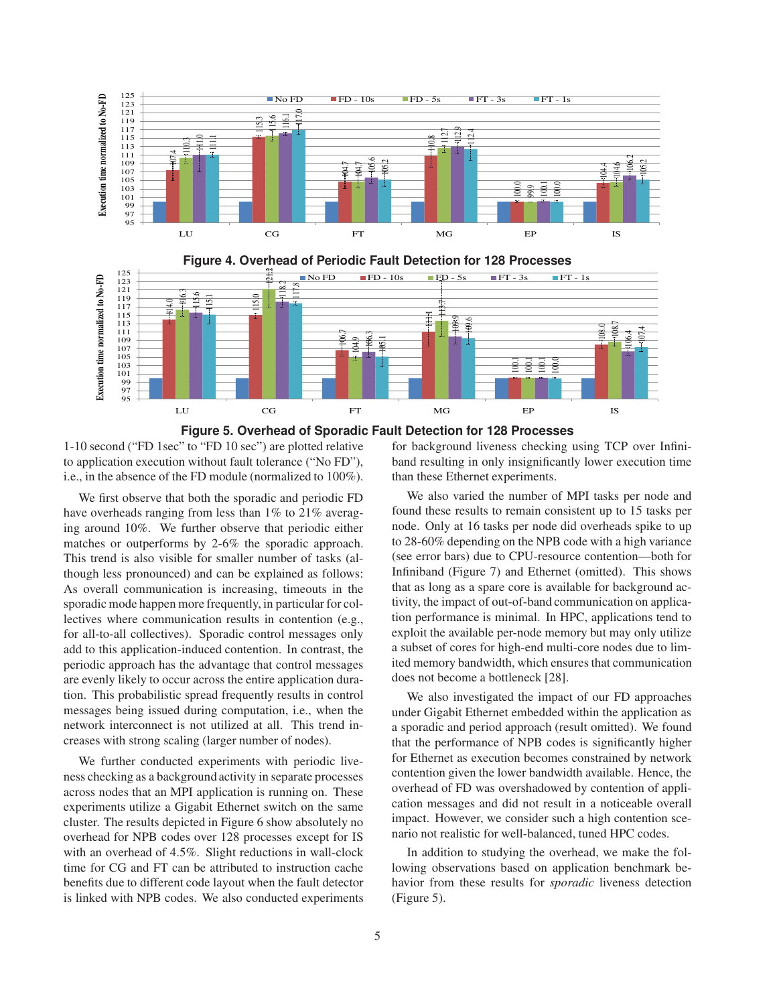

**Figure 5. Overhead of Sporadic Fault Detection for 128 Processes**

1-10 second ("FD 1sec" to "FD 10 sec") are plotted relative to application execution without fault tolerance ("No FD"), i.e., in the absence of the FD module (normalized to 100%).

We first observe that both the sporadic and periodic FD have overheads ranging from less than 1% to 21% averaging around 10%. We further observe that periodic either matches or outperforms by 2-6% the sporadic approach. This trend is also visible for smaller number of tasks (although less pronounced) and can be explained as follows: As overall communication is increasing, timeouts in the sporadic mode happen more frequently, in particular for collectives where communication results in contention (e.g., for all-to-all collectives). Sporadic control messages only add to this application-induced contention. In contrast, the periodic approach has the advantage that control messages are evenly likely to occur across the entire application duration. This probabilistic spread frequently results in control messages being issued during computation, i.e., when the network interconnect is not utilized at all. This trend increases with strong scaling (larger number of nodes).

We further conducted experiments with periodic liveness checking as a background activity in separate processes across nodes that an MPI application is running on. These experiments utilize a Gigabit Ethernet switch on the same cluster. The results depicted in Figure 6 show absolutely no overhead for NPB codes over 128 processes except for IS with an overhead of 4.5%. Slight reductions in wall-clock time for CG and FT can be attributed to instruction cache benefits due to different code layout when the fault detector is linked with NPB codes. We also conducted experiments for background liveness checking using TCP over Infiniband resulting in only insignificantly lower execution time than these Ethernet experiments.

We also varied the number of MPI tasks per node and found these results to remain consistent up to 15 tasks per node. Only at 16 tasks per node did overheads spike to up to 28-60% depending on the NPB code with a high variance (see error bars) due to CPU-resource contention—both for Infiniband (Figure 7) and Ethernet (omitted). This shows that as long as a spare core is available for background activity, the impact of out-of-band communication on application performance is minimal. In HPC, applications tend to exploit the available per-node memory but may only utilize a subset of cores for high-end multi-core nodes due to limited memory bandwidth, which ensures that communication does not become a bottleneck [28].

We also investigated the impact of our FD approaches under Gigabit Ethernet embedded within the application as a sporadic and period approach (result omitted). We found that the performance of NPB codes is significantly higher for Ethernet as execution becomes constrained by network contention given the lower bandwidth available. Hence, the overhead of FD was overshadowed by contention of application messages and did not result in a noticeable overall impact. However, we consider such a high contention scenario not realistic for well-balanced, tuned HPC codes.

In addition to studying the overhead, we make the following observations based on application benchmark behavior from these results for *sporadic* liveness detection (Figure 5).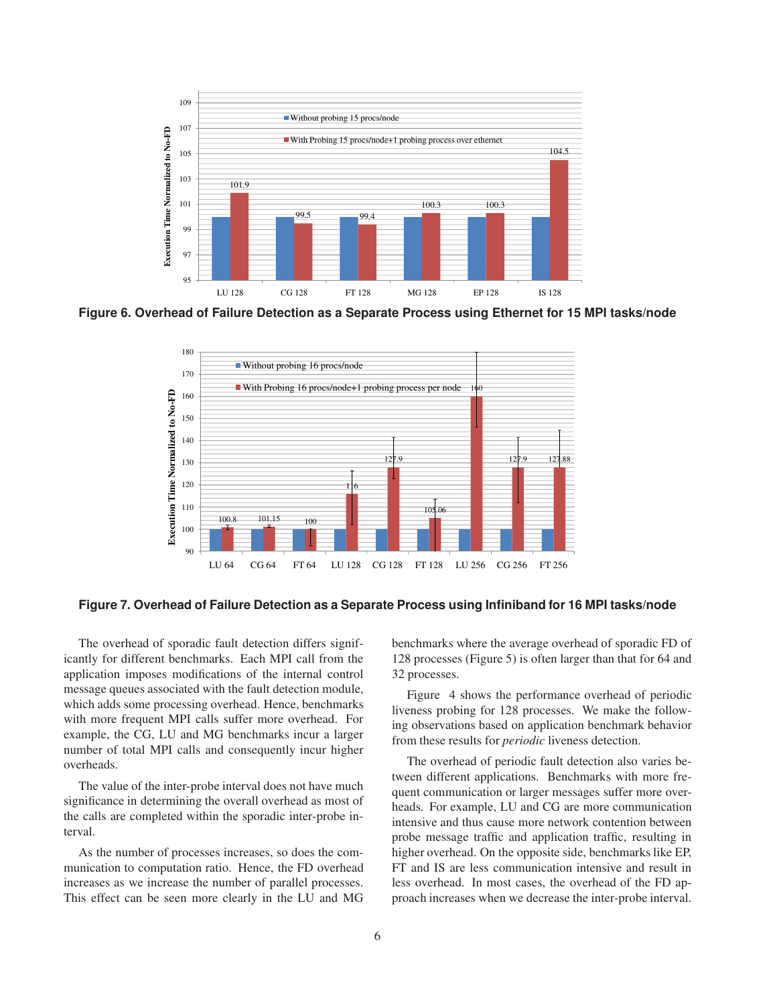

**Figure 6. Overhead of Failure Detection as a Separate Process using Ethernet for 15 MPI tasks/node**



**Figure 7. Overhead of Failure Detection as a Separate Process using Infiniband for 16 MPI tasks/node**

The overhead of sporadic fault detection differs significantly for different benchmarks. Each MPI call from the application imposes modifications of the internal control message queues associated with the fault detection module, which adds some processing overhead. Hence, benchmarks with more frequent MPI calls suffer more overhead. For example, the CG, LU and MG benchmarks incur a larger number of total MPI calls and consequently incur higher overheads.

The value of the inter-probe interval does not have much significance in determining the overall overhead as most of the calls are completed within the sporadic inter-probe interval.

As the number of processes increases, so does the communication to computation ratio. Hence, the FD overhead increases as we increase the number of parallel processes. This effect can be seen more clearly in the LU and MG benchmarks where the average overhead of sporadic FD of 128 processes (Figure 5) is often larger than that for 64 and 32 processes.

Figure 4 shows the performance overhead of periodic liveness probing for 128 processes. We make the following observations based on application benchmark behavior from these results for *periodic* liveness detection.

The overhead of periodic fault detection also varies between different applications. Benchmarks with more frequent communication or larger messages suffer more overheads. For example, LU and CG are more communication intensive and thus cause more network contention between probe message traffic and application traffic, resulting in higher overhead. On the opposite side, benchmarks like EP, FT and IS are less communication intensive and result in less overhead. In most cases, the overhead of the FD approach increases when we decrease the inter-probe interval.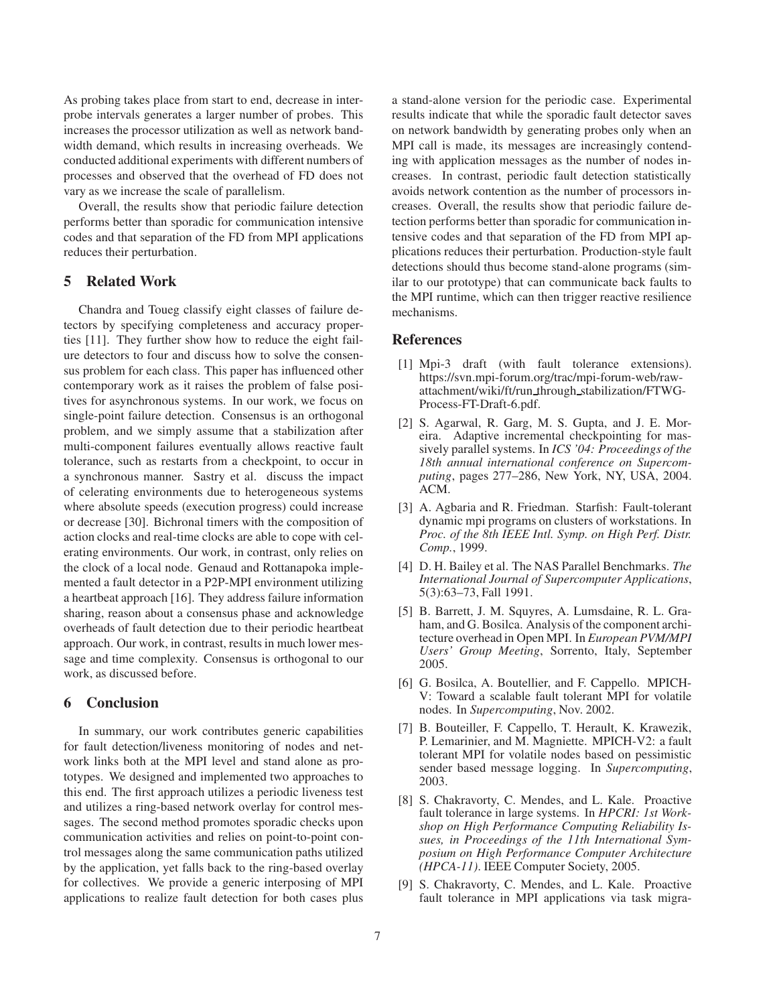As probing takes place from start to end, decrease in interprobe intervals generates a larger number of probes. This increases the processor utilization as well as network bandwidth demand, which results in increasing overheads. We conducted additional experiments with different numbers of processes and observed that the overhead of FD does not vary as we increase the scale of parallelism.

Overall, the results show that periodic failure detection performs better than sporadic for communication intensive codes and that separation of the FD from MPI applications reduces their perturbation.

## **5 Related Work**

Chandra and Toueg classify eight classes of failure detectors by specifying completeness and accuracy properties [11]. They further show how to reduce the eight failure detectors to four and discuss how to solve the consensus problem for each class. This paper has influenced other contemporary work as it raises the problem of false positives for asynchronous systems. In our work, we focus on single-point failure detection. Consensus is an orthogonal problem, and we simply assume that a stabilization after multi-component failures eventually allows reactive fault tolerance, such as restarts from a checkpoint, to occur in a synchronous manner. Sastry et al. discuss the impact of celerating environments due to heterogeneous systems where absolute speeds (execution progress) could increase or decrease [30]. Bichronal timers with the composition of action clocks and real-time clocks are able to cope with celerating environments. Our work, in contrast, only relies on the clock of a local node. Genaud and Rottanapoka implemented a fault detector in a P2P-MPI environment utilizing a heartbeat approach [16]. They address failure information sharing, reason about a consensus phase and acknowledge overheads of fault detection due to their periodic heartbeat approach. Our work, in contrast, results in much lower message and time complexity. Consensus is orthogonal to our work, as discussed before.

### **6 Conclusion**

In summary, our work contributes generic capabilities for fault detection/liveness monitoring of nodes and network links both at the MPI level and stand alone as prototypes. We designed and implemented two approaches to this end. The first approach utilizes a periodic liveness test and utilizes a ring-based network overlay for control messages. The second method promotes sporadic checks upon communication activities and relies on point-to-point control messages along the same communication paths utilized by the application, yet falls back to the ring-based overlay for collectives. We provide a generic interposing of MPI applications to realize fault detection for both cases plus

a stand-alone version for the periodic case. Experimental results indicate that while the sporadic fault detector saves on network bandwidth by generating probes only when an MPI call is made, its messages are increasingly contending with application messages as the number of nodes increases. In contrast, periodic fault detection statistically avoids network contention as the number of processors increases. Overall, the results show that periodic failure detection performs better than sporadic for communication intensive codes and that separation of the FD from MPI applications reduces their perturbation. Production-style fault detections should thus become stand-alone programs (similar to our prototype) that can communicate back faults to the MPI runtime, which can then trigger reactive resilience mechanisms.

### **References**

- [1] Mpi-3 draft (with fault tolerance extensions). https://svn.mpi-forum.org/trac/mpi-forum-web/rawattachment/wiki/ft/run through stabilization/FTWG-Process-FT-Draft-6.pdf.
- [2] S. Agarwal, R. Garg, M. S. Gupta, and J. E. Moreira. Adaptive incremental checkpointing for massively parallel systems. In *ICS '04: Proceedings of the 18th annual international conference on Supercomputing*, pages 277–286, New York, NY, USA, 2004. ACM.
- [3] A. Agbaria and R. Friedman. Starfish: Fault-tolerant dynamic mpi programs on clusters of workstations. In *Proc. of the 8th IEEE Intl. Symp. on High Perf. Distr. Comp.*, 1999.
- [4] D. H. Bailey et al. The NAS Parallel Benchmarks. *The International Journal of Supercomputer Applications*, 5(3):63–73, Fall 1991.
- [5] B. Barrett, J. M. Squyres, A. Lumsdaine, R. L. Graham, and G. Bosilca. Analysis of the component architecture overhead in Open MPI. In *European PVM/MPI Users' Group Meeting*, Sorrento, Italy, September 2005.
- [6] G. Bosilca, A. Boutellier, and F. Cappello. MPICH-V: Toward a scalable fault tolerant MPI for volatile nodes. In *Supercomputing*, Nov. 2002.
- [7] B. Bouteiller, F. Cappello, T. Herault, K. Krawezik, P. Lemarinier, and M. Magniette. MPICH-V2: a fault tolerant MPI for volatile nodes based on pessimistic sender based message logging. In *Supercomputing*, 2003.
- [8] S. Chakravorty, C. Mendes, and L. Kale. Proactive fault tolerance in large systems. In *HPCRI: 1st Workshop on High Performance Computing Reliability Issues, in Proceedings of the 11th International Symposium on High Performance Computer Architecture (HPCA-11)*. IEEE Computer Society, 2005.
- [9] S. Chakravorty, C. Mendes, and L. Kale. Proactive fault tolerance in MPI applications via task migra-